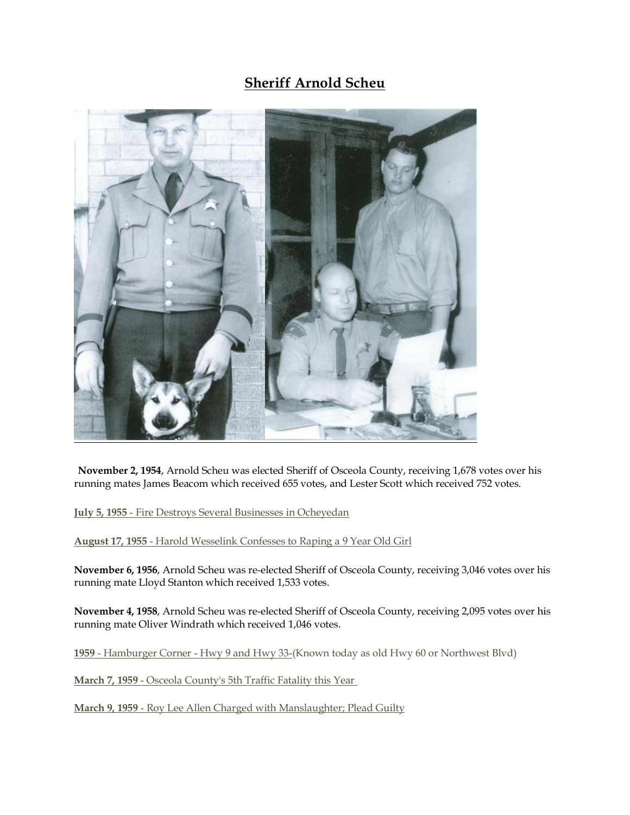## **Sheriff Arnold Scheu**



**November 2, 1954**, Arnold Scheu was elected Sheriff of Osceola County, receiving 1,678 votes over his running mates James Beacom which received 655 votes, and Lester Scott which received 752 votes.

**July 5, 1955** - Fire Destroys Several Businesses in Ocheyedan

**August 17, 1955** - Harold Wesselink Confesses to Raping a 9 Year Old Girl

**November 6, 1956**, Arnold Scheu was re-elected Sheriff of Osceola County, receiving 3,046 votes over his running mate Lloyd Stanton which received 1,533 votes.

**November 4, 1958**, Arnold Scheu was re-elected Sheriff of Osceola County, receiving 2,095 votes over his running mate Oliver Windrath which received 1,046 votes.

**1959** - Hamburger Corner - Hwy 9 and Hwy 3[3-\(Known today as old Hwy 60 or Northwest Blvd\)](http://sheriffosceolacounty.org/hamburgercorner.html)

**March 7, 1959** - Osceola County's 5th Traffic Fatality this Year

**March 9, 1959** - Roy Lee Allen Charged with Manslaughter; Plead Guilty